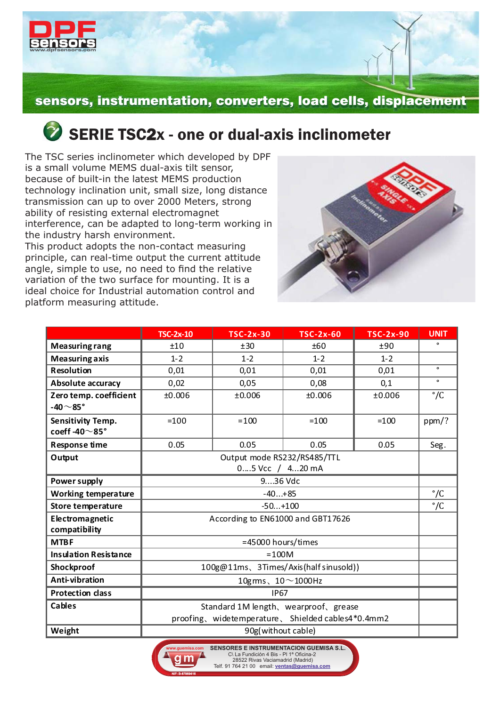

## **2** SERIE TSC2x - one or dual-axis inclinometer

The TSC series inclinometer which developed by DPF is a small volume MEMS dual-axis tilt sensor, because of built-in the latest MEMS production technology inclination unit, small size, long distance transmission can up to over 2000 Meters, strong ability of resisting external electromagnet interference, can be adapted to long-term working in the industry harsh environment.

This product adopts the non-contact measuring principle, can real-time output the current attitude angle, simple to use, no need to find the relative variation of the two surface for mounting. It is a ideal choice for Industrial automation control and platform measuring attitude.



|                                                 | <b>TSC-2x-10</b>                                   | <b>TSC-2x-30</b> | <b>TSC-2x-60</b> | <b>TSC-2x-90</b> | <b>UNIT</b>  |  |
|-------------------------------------------------|----------------------------------------------------|------------------|------------------|------------------|--------------|--|
| <b>Measuring rang</b>                           | ±10                                                | ±30              | ±60              | ±90              | $\bullet$    |  |
| <b>Measuring axis</b>                           | $1 - 2$                                            | $1 - 2$          | $1 - 2$          | $1 - 2$          |              |  |
| <b>Resolution</b>                               | 0,01                                               | 0,01             | 0,01             | 0,01             | $\circ$      |  |
| <b>Absolute accuracy</b>                        | 0,02                                               | 0,05             | 0,08             | 0,1              | $\bullet$    |  |
| Zero temp. coefficient<br>-40 $\sim$ 85°        | ±0.006                                             | ±0.006           | ±0.006           | ±0.006           | $\degree$ /C |  |
| <b>Sensitivity Temp.</b><br>coeff-40 $\sim$ 85° | $=100$                                             | $= 100$          | $=100$           | $=100$           | ppm/?        |  |
| <b>Response time</b>                            | 0.05                                               | 0.05             | 0.05             | 0.05             | Seg.         |  |
| Output                                          | Output mode RS232/RS485/TTL                        |                  |                  |                  |              |  |
|                                                 | 05 Vcc / 420 mA                                    |                  |                  |                  |              |  |
| Power supply                                    | 936 Vdc                                            |                  |                  |                  |              |  |
| <b>Working temperature</b>                      | $-40+85$                                           |                  |                  |                  |              |  |
| <b>Store temperature</b>                        | $-50+100$                                          |                  |                  |                  |              |  |
| Electromagnetic<br>compatibility                | According to EN61000 and GBT17626                  |                  |                  |                  |              |  |
| <b>MTBF</b>                                     | =45000 hours/times                                 |                  |                  |                  |              |  |
| <b>Insulation Resistance</b>                    | $=100M$                                            |                  |                  |                  |              |  |
| Shockproof                                      | 100g@11ms、3Times/Axis(half sinusold))              |                  |                  |                  |              |  |
| Anti-vibration                                  | 10gms, $10 \sim 1000$ Hz                           |                  |                  |                  |              |  |
| <b>Protection class</b>                         | <b>IP67</b>                                        |                  |                  |                  |              |  |
| Cables                                          | Standard 1M length, wearproof, grease              |                  |                  |                  |              |  |
|                                                 | proofing, widetemperature, Shielded cables4*0.4mm2 |                  |                  |                  |              |  |
| Weight                                          | 90g(without cable)                                 |                  |                  |                  |              |  |